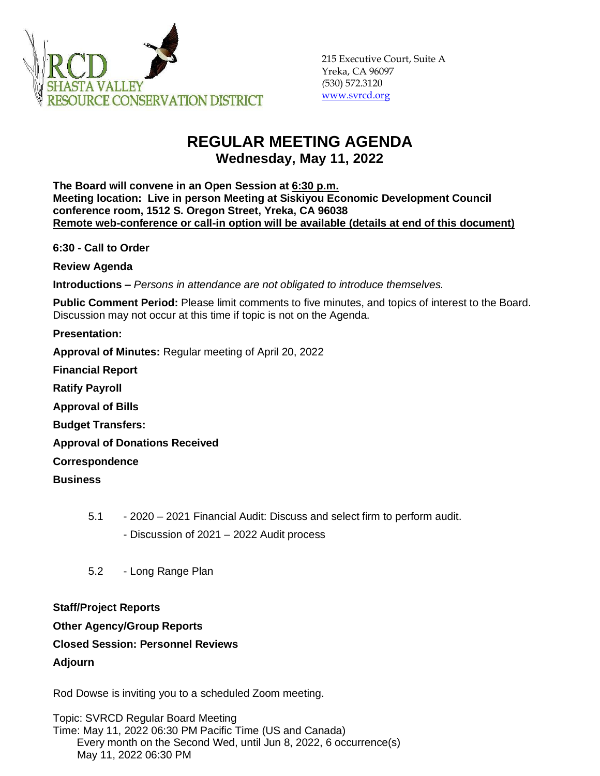

# **REGULAR MEETING AGENDA Wednesday, May 11, 2022**

**The Board will convene in an Open Session at 6:30 p.m. Meeting location: Live in person Meeting at Siskiyou Economic Development Council conference room, 1512 S. Oregon Street, Yreka, CA 96038 Remote web-conference or call-in option will be available (details at end of this document)**

**6:30 - Call to Order** 

**Review Agenda**

**Introductions –** *Persons in attendance are not obligated to introduce themselves.*

**Public Comment Period:** Please limit comments to five minutes, and topics of interest to the Board. Discussion may not occur at this time if topic is not on the Agenda.

**Presentation:** 

**Approval of Minutes:** Regular meeting of April 20, 2022

**Financial Report**

**Ratify Payroll**

**Approval of Bills**

**Budget Transfers:**

**Approval of Donations Received**

**Correspondence**

**Business**

5.1 - 2020 – 2021 Financial Audit: Discuss and select firm to perform audit.

- Discussion of 2021 – 2022 Audit process

5.2 - Long Range Plan

# **Staff/Project Reports**

# **Other Agency/Group Reports**

# **Closed Session: Personnel Reviews**

# **Adjourn**

Rod Dowse is inviting you to a scheduled Zoom meeting.

Topic: SVRCD Regular Board Meeting Time: May 11, 2022 06:30 PM Pacific Time (US and Canada) Every month on the Second Wed, until Jun 8, 2022, 6 occurrence(s) May 11, 2022 06:30 PM